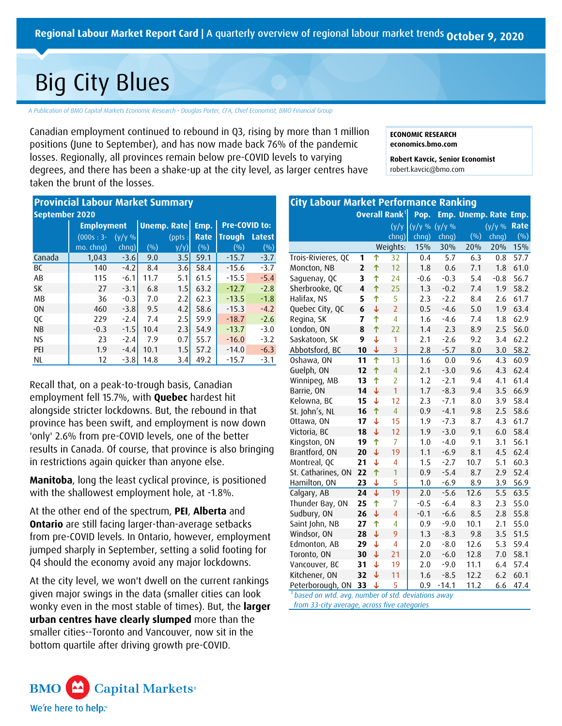# Big City Blues

*A Publication of BMO Capital Markets Economic Research • Douglas Porter, CFA, Chief Economist, BMO Financial Group*

Canadian employment continued to rebound in Q3, rising by more than 1 million positions (June to September), and has now made back 76% of the pandemic losses. Regionally, all provinces remain below pre-COVID levels to varying degrees, and there has been a shake-up at the city level, as larger centres have taken the brunt of the losses.

|                                               | Regional Labour Market Report Card   A quarterly over<br><b>Big City Blues</b><br>A Publication of BMO Capital Markets Economic Research · Douglas Porter, CFA, Chief Economist,                                                                                                                                                                      |                                                                    |                                                 |                                               |                                                      |                                                                           |                                                                    |
|-----------------------------------------------|-------------------------------------------------------------------------------------------------------------------------------------------------------------------------------------------------------------------------------------------------------------------------------------------------------------------------------------------------------|--------------------------------------------------------------------|-------------------------------------------------|-----------------------------------------------|------------------------------------------------------|---------------------------------------------------------------------------|--------------------------------------------------------------------|
|                                               | Canadian employment continued to rebound in Q3, rising b<br>positions (June to September), and has now made back 76<br>losses. Regionally, all provinces remain below pre-COVID le<br>degrees, and there has been a shake-up at the city level, a<br>taken the brunt of the losses.                                                                   |                                                                    |                                                 |                                               |                                                      |                                                                           |                                                                    |
| September 2020<br>Canada                      | <b>Provincial Labour Market Summary</b><br><b>Employment</b><br>$(000s:3-$<br>mo. chng)<br>1,043                                                                                                                                                                                                                                                      | $(y/y \%$<br>chng)<br>$-3.6$                                       | $($ % $)$<br>9.0                                | <b>Unemp. Rate</b><br>(ppts:<br>y/y<br>3.5    | Emp.<br>Rate<br>$($ %)<br>59.1                       | Pre-COVID to:<br><b>Trough</b><br>(9/0)<br>$-15.7$                        | <b>Latest</b><br>(%)<br>$-3.7$                                     |
| ВC<br>AB<br>SK<br>МB<br>0N<br>QC<br><b>NB</b> | 140<br>115<br>27<br>36<br>460<br>229<br>$-0.3$                                                                                                                                                                                                                                                                                                        | $-4.2$<br>$-6.1$<br>$-3.1$<br>$-0.3$<br>$-3.8$<br>$-2.4$<br>$-1.5$ | 8.4<br>11.7<br>6.8<br>7.0<br>9.5<br>7.4<br>10.4 | 3.6<br>5.1<br>1.5<br>2.2<br>4.2<br>2.5<br>2.3 | 58.4<br>61.5<br>63.2<br>62.3<br>58.6<br>59.9<br>54.9 | $-15.6$<br>$-15.5$<br>$-12.7$<br>$-13.5$<br>$-15.3$<br>$-18.7$<br>$-13.7$ | $-3.7$<br>$-5.4$<br>$-2.8$<br>$-1.8$<br>$-4.2$<br>$-2.6$<br>$-3.0$ |
| <b>NS</b><br>PEI<br><b>NL</b>                 | 23<br>1.9<br>12<br>Recall that, on a peak-to-trough basis, Canadian<br>employment fell 15.7%, with <b>Quebec</b> hardest hit                                                                                                                                                                                                                          | $-2.4$<br>$-4.4$<br>$-3.8$                                         | 7.9<br>10.1<br>14.8                             | 0.7<br>1.5<br>3.4                             | 55.7<br>57.2<br>49.2                                 | $-16.0$<br>$-14.0$<br>$-15.7$                                             | $-3.2$<br>$-6.3$<br>$-3.1$                                         |
|                                               | alongside stricter lockdowns. But, the rebound in that<br>province has been swift, and employment is now down<br>'only' 2.6% from pre-COVID levels, one of the better<br>results in Canada. Of course, that province is also bringing<br>in restrictions again quicker than anyone else.<br>Manitoba, long the least cyclical province, is positioned |                                                                    |                                                 |                                               |                                                      |                                                                           |                                                                    |
|                                               | with the shallowest employment hole, at -1.8%.<br>At the other end of the spectrum, PEI, Alberta and<br><b>Ontario</b> are still facing larger-than-average setbacks<br>from pre-COVID levels. In Ontario, however, employment<br>jumped sharply in September, setting a solid footing for<br>Q4 should the economy avoid any major lockdowns.        |                                                                    |                                                 |                                               |                                                      |                                                                           |                                                                    |
|                                               | At the city level, we won't dwell on the current rankings<br>given major swings in the data (smaller cities can look<br>wonky even in the most stable of times). But, the larger<br>urban centres have clearly slumped more than the<br>smaller cities--Toronto and Vancouver, now sit in the<br>bottom quartile after driving growth pre-COVID.      |                                                                    |                                                 |                                               |                                                      |                                                                           |                                                                    |



| ew of regional labour market trends october 9, 2020                                                                                                                                                                                                                                                                                                                                                                                                                                                      |                                                                                                                                                                                                                                                                                                                                                                                                                                                                                                                                             |                                                                                                                                                                                                                                                                                                                                                          |                                                                                                                                                                                                                                                |                                                                                                                                                                                                                                                                                |                                                                                                                                                                                                                                   |                                                                                                                                                                                                                        |                                                                                                                                                                                                                                                       |
|----------------------------------------------------------------------------------------------------------------------------------------------------------------------------------------------------------------------------------------------------------------------------------------------------------------------------------------------------------------------------------------------------------------------------------------------------------------------------------------------------------|---------------------------------------------------------------------------------------------------------------------------------------------------------------------------------------------------------------------------------------------------------------------------------------------------------------------------------------------------------------------------------------------------------------------------------------------------------------------------------------------------------------------------------------------|----------------------------------------------------------------------------------------------------------------------------------------------------------------------------------------------------------------------------------------------------------------------------------------------------------------------------------------------------------|------------------------------------------------------------------------------------------------------------------------------------------------------------------------------------------------------------------------------------------------|--------------------------------------------------------------------------------------------------------------------------------------------------------------------------------------------------------------------------------------------------------------------------------|-----------------------------------------------------------------------------------------------------------------------------------------------------------------------------------------------------------------------------------|------------------------------------------------------------------------------------------------------------------------------------------------------------------------------------------------------------------------|-------------------------------------------------------------------------------------------------------------------------------------------------------------------------------------------------------------------------------------------------------|
| O Financial Group<br>more than 1 million<br>of the pandemic<br>els to varying<br>larger centres have                                                                                                                                                                                                                                                                                                                                                                                                     | <b>ECONOMIC RESEARCH</b><br>economics.bmo.com<br>robert.kavcic@bmo.com                                                                                                                                                                                                                                                                                                                                                                                                                                                                      | Robert Kavcic, Senior Economist                                                                                                                                                                                                                                                                                                                          |                                                                                                                                                                                                                                                |                                                                                                                                                                                                                                                                                |                                                                                                                                                                                                                                   |                                                                                                                                                                                                                        |                                                                                                                                                                                                                                                       |
| <b>City Labour Market Performance Ranking</b><br>Trois-Rivieres, QC<br>Moncton, NB<br>Saguenay, QC<br>Sherbrooke, QC<br>Halifax, NS<br>Quebec City, QC<br>Regina, SK<br>London, ON<br>Saskatoon, SK<br>Abbotsford, BC<br>Oshawa, ON<br>Guelph, ON<br>Winnipeg, MB<br>Barrie, ON<br>Kelowna, BC<br>St. John's, NL<br>Ottawa, ON<br>Victoria, BC<br>Kingston, ON<br>Brantford, ON<br>Montreal, QC<br>St. Catharines, ON<br>Hamilton, ON<br>Calgary, AB<br>Thunder Bay, ON<br>Sudbury, ON<br>Saint John, NB | ↑<br>1<br>$\overline{\mathbf{z}}$<br>$\uparrow$<br>↑<br>3<br>$\hat{\mathsf{T}}$<br>$\overline{\mathbf{4}}$<br>5<br>个<br>$\downarrow$<br>6<br>7<br>个<br>↑<br>8<br>$\downarrow$<br>9<br>10<br>$\downarrow$<br>$\overline{\Uparrow}$<br>11<br>$\hat{\mathsf{T}}$<br>12<br>↑<br>13<br>$\downarrow$<br>14<br>15<br>↓<br>16<br>个<br>$\downarrow$<br>17<br>$\downarrow$<br>18<br>↑<br>19<br>$\downarrow$<br>20<br>↓<br>21<br>22<br>个<br>23<br>$\overline{\mathbf{r}}$<br>$\overline{\downarrow}$<br>24<br>25<br>个<br>$\downarrow$<br>26<br>27<br>个 | Overall Rank <sup>1</sup><br>(y/y)<br>chng)<br>Weights:<br>32<br>12<br>24<br>25<br>5<br>$\overline{2}$<br>$\overline{4}$<br>22<br>1<br>$\overline{3}$<br>13<br>$\overline{4}$<br>$\overline{2}$<br>$\overline{1}$<br>12<br>$\overline{4}$<br>15<br>12<br>$\overline{7}$<br>19<br>4<br>$\overline{1}$<br>5<br>$\overline{19}$<br>7<br>$\overline{4}$<br>4 | Pop.<br>$(y/y\% (y/y\%)$<br>chng)<br>15%<br>0.4<br>1.8<br>$-0.6$<br>1.3<br>2.3<br>0.5<br>1.6<br>1.4<br>2.1<br>2.8<br>1.6<br>2.1<br>1.2<br>1.7<br>2.3<br>0.9<br>1.9<br>1.9<br>1.0<br>1.1<br>1.5<br>0.9<br>1.0<br>2.0<br>$-0.5$<br>$-0.1$<br>0.9 | chng)<br>30%<br>5.7<br>0.6<br>$-0.3$<br>$-0.2$<br>$-2.2$<br>$-4.6$<br>$-4.6$<br>2.3<br>$-2.6$<br>$-5.7$<br>0.0<br>$-3.0$<br>$-2.1$<br>$-8.3$<br>$-7.1$<br>$-4.1$<br>$-7.3$<br>$-3.0$<br>$-4.0$<br>$-6.9$<br>$-2.7$<br>$-5.4$<br>$-6.9$<br>$-5.6$<br>$-6.4$<br>$-6.6$<br>$-9.0$ | Emp. Unemp. Rate<br>$($ %)<br>20%<br>6.3<br>7.1<br>5.4<br>7.4<br>8.4<br>5.0<br>7.4<br>8.9<br>9.2<br>8.0<br>9.6<br>9.6<br>9.4<br>9.4<br>8.0<br>9.8<br>8.7<br>9.1<br>9.1<br>8.1<br>10.7<br>8.7<br>8.9<br>12.6<br>8.3<br>8.5<br>10.1 | (y/y %<br>chng)<br>20%<br>0.8<br>1.8<br>$-0.8$<br>1.9<br>2.6<br>1.9<br>1.8<br>2.5<br>3.4<br>3.0<br>4.3<br>4.3<br>4.1<br>3.5<br>3.9<br>2.5<br>4.3<br>6.0<br>3.1<br>4.5<br>5.1<br>2.9<br>3.9<br>5.5<br>2.3<br>2.8<br>2.1 | Emp.<br>Rate<br>$($ %)<br>15%<br>57.7<br>61.0<br>56.7<br>58.2<br>61.7<br>63.4<br>62.9<br>56.0<br>62.2<br>58.2<br>60.9<br>62.4<br>61.4<br>66.9<br>58.4<br>58.6<br>61.7<br>58.4<br>56.1<br>62.4<br>60.3<br>52.4<br>56.9<br>63.5<br>55.0<br>55.8<br>55.0 |
| Windsor, ON                                                                                                                                                                                                                                                                                                                                                                                                                                                                                              | 28<br>$\downarrow$<br>29<br>↓<br>30<br>↓<br>$\downarrow$<br>31<br>$\downarrow$<br>32<br>Peterborough, ON 33<br>↓                                                                                                                                                                                                                                                                                                                                                                                                                            | 9<br>$\overline{\mathcal{A}}$<br>21<br>19<br>11<br>5<br>from 33-city average, across five categories                                                                                                                                                                                                                                                     | 1.3<br>2.0<br>$2.0$<br>2.0<br>$1.6$<br>0.9<br><sup>1</sup> based on wtd. avg. number of std. deviations away                                                                                                                                   | $-8.3$<br>$-8.0$<br>$-6.0$<br>$-9.0$<br>$-8.5$<br>$-14.1$                                                                                                                                                                                                                      | 9.8<br>12.6<br>12.8<br>11.1<br>12.2<br>11.2                                                                                                                                                                                       | 3.5<br>5.3<br>7.0<br>$6.4$<br>6.2<br>6.6                                                                                                                                                                               | 51.5<br>59.4<br>58.1<br>57.4<br>60.1<br>47.4                                                                                                                                                                                                          |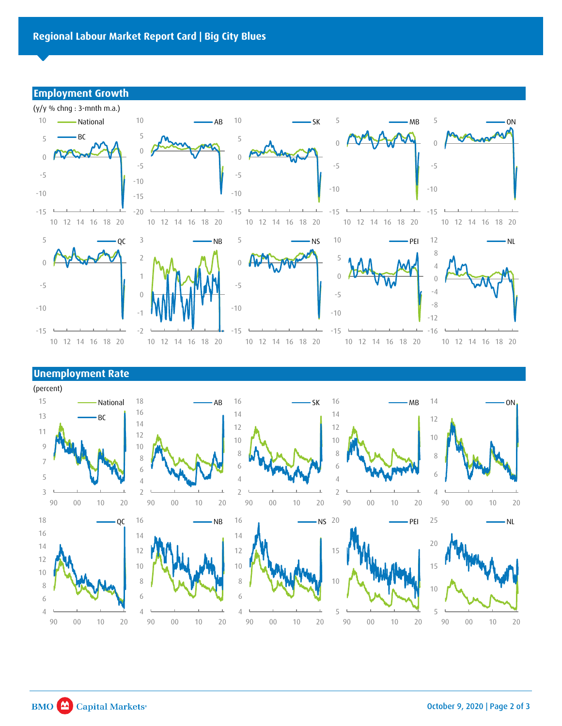## **Employment Growth**



## **Unemployment Rate**

(percent) 15 18 16 16 14 National AB SK MB ON 16 14 14 13 BC 12 14 12 12 11 12 10 10 10  $\,9$ 10 8 8 8 8  $\overline{7}$ 6 6 6 6 5  $\overline{4}$  $\sqrt{4}$  $\overline{4}$  $\mathcal{E}$  $\overline{2}$  $\overline{2}$  $\overline{2}$  $\overline{4}$ 90 00 10 20 90 00 10 20 90 00 10 20 90 00 10 20 90 00 10 20 18 16 25  $QC$ 16 NS 20 PEI NB NL 16 14 14 20 14 12 12 15 12 15 10 10 10 8  $\overline{8}$ 10  $\,8\,$ 10 6 6  $\sqrt{6}$  $\sqrt{4}$  $\sqrt{4}$ 4 5 5 90 00 10 20 90 00 10 20 90 00 10 20 90 00 10 20 90 00 10 20